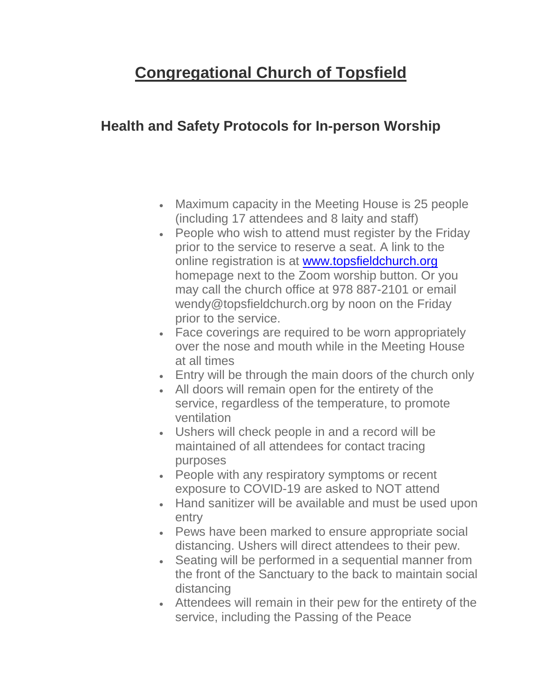## **Congregational Church of Topsfield**

## **Health and Safety Protocols for In-person Worship**

- Maximum capacity in the Meeting House is 25 people (including 17 attendees and 8 laity and staff)
- People who wish to attend must register by the Friday prior to the service to reserve a seat. A link to the online registration is at [www.topsfieldchurch.org](http://www.topsfieldchurch.org/) homepage next to the Zoom worship button. Or you may call the church office at 978 887-2101 or email wendy@topsfieldchurch.org by noon on the Friday prior to the service.
- Face coverings are required to be worn appropriately over the nose and mouth while in the Meeting House at all times
- Entry will be through the main doors of the church only
- All doors will remain open for the entirety of the service, regardless of the temperature, to promote ventilation
- Ushers will check people in and a record will be maintained of all attendees for contact tracing purposes
- People with any respiratory symptoms or recent exposure to COVID-19 are asked to NOT attend
- Hand sanitizer will be available and must be used upon entry
- Pews have been marked to ensure appropriate social distancing. Ushers will direct attendees to their pew.
- Seating will be performed in a sequential manner from the front of the Sanctuary to the back to maintain social distancing
- Attendees will remain in their pew for the entirety of the service, including the Passing of the Peace